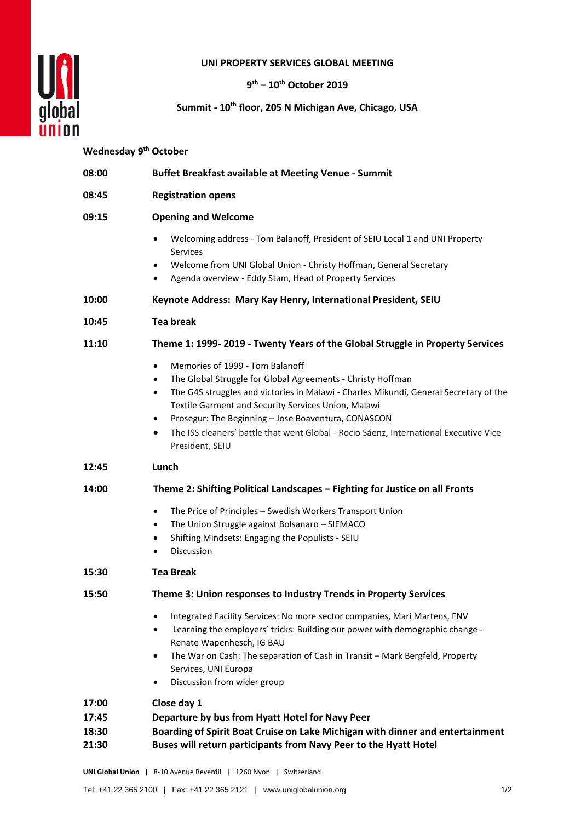

## **UNI PROPERTY SERVICES GLOBAL MEETING**

**9 th – 10th October 2019**

## **Summit - 10th floor, 205 N Michigan Ave, Chicago, USA**

## **Wednesday 9th October**

| 08:00          | <b>Buffet Breakfast available at Meeting Venue - Summit</b>                                                                                                                                                                                                                                                                                                                                                                                                                |
|----------------|----------------------------------------------------------------------------------------------------------------------------------------------------------------------------------------------------------------------------------------------------------------------------------------------------------------------------------------------------------------------------------------------------------------------------------------------------------------------------|
| 08:45          | <b>Registration opens</b>                                                                                                                                                                                                                                                                                                                                                                                                                                                  |
| 09:15          | <b>Opening and Welcome</b>                                                                                                                                                                                                                                                                                                                                                                                                                                                 |
|                | Welcoming address - Tom Balanoff, President of SEIU Local 1 and UNI Property<br>$\bullet$<br>Services<br>Welcome from UNI Global Union - Christy Hoffman, General Secretary<br>٠<br>Agenda overview - Eddy Stam, Head of Property Services<br>$\bullet$                                                                                                                                                                                                                    |
| 10:00          | Keynote Address: Mary Kay Henry, International President, SEIU                                                                                                                                                                                                                                                                                                                                                                                                             |
| 10:45          | <b>Tea break</b>                                                                                                                                                                                                                                                                                                                                                                                                                                                           |
| 11:10          | Theme 1: 1999-2019 - Twenty Years of the Global Struggle in Property Services                                                                                                                                                                                                                                                                                                                                                                                              |
|                | Memories of 1999 - Tom Balanoff<br>$\bullet$<br>The Global Struggle for Global Agreements - Christy Hoffman<br>$\bullet$<br>The G4S struggles and victories in Malawi - Charles Mikundi, General Secretary of the<br>$\bullet$<br>Textile Garment and Security Services Union, Malawi<br>Prosegur: The Beginning - Jose Boaventura, CONASCON<br>$\bullet$<br>The ISS cleaners' battle that went Global - Rocio Sáenz, International Executive Vice<br>٠<br>President, SEIU |
| 12:45          | Lunch                                                                                                                                                                                                                                                                                                                                                                                                                                                                      |
| 14:00          | Theme 2: Shifting Political Landscapes - Fighting for Justice on all Fronts                                                                                                                                                                                                                                                                                                                                                                                                |
|                | The Price of Principles - Swedish Workers Transport Union<br>$\bullet$<br>The Union Struggle against Bolsanaro - SIEMACO<br>٠<br>Shifting Mindsets: Engaging the Populists - SEIU<br>$\bullet$<br>Discussion<br>$\bullet$                                                                                                                                                                                                                                                  |
| 15:30          | <b>Tea Break</b>                                                                                                                                                                                                                                                                                                                                                                                                                                                           |
| 15:50          | Theme 3: Union responses to Industry Trends in Property Services                                                                                                                                                                                                                                                                                                                                                                                                           |
|                | Integrated Facility Services: No more sector companies, Mari Martens, FNV<br>Learning the employers' tricks: Building our power with demographic change -<br>$\bullet$<br>Renate Wapenhesch, IG BAU<br>The War on Cash: The separation of Cash in Transit - Mark Bergfeld, Property<br>$\bullet$<br>Services, UNI Europa<br>Discussion from wider group<br>$\bullet$                                                                                                       |
| 17:00          | Close day 1                                                                                                                                                                                                                                                                                                                                                                                                                                                                |
| 17:45<br>18:30 | Departure by bus from Hyatt Hotel for Navy Peer<br>Boarding of Spirit Boat Cruise on Lake Michigan with dinner and entertainment                                                                                                                                                                                                                                                                                                                                           |